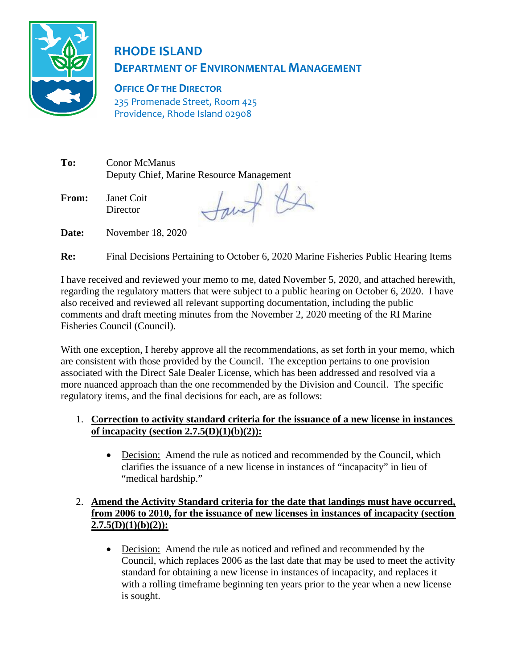

# **RHODE ISLAND DEPARTMENT OF ENVIRONMENTAL MANAGEMENT**

**OFFICE OF THE DIRECTOR** 235 Promenade Street, Room 425 Providence, Rhode Island 02908

**To:** Conor McManus Deputy Chief, Marine Resource Management

**From:** Janet Coit Director

tavet Di

**Date:** November 18, 2020

**Re:** Final Decisions Pertaining to October 6, 2020 Marine Fisheries Public Hearing Items

I have received and reviewed your memo to me, dated November 5, 2020, and attached herewith, regarding the regulatory matters that were subject to a public hearing on October 6, 2020. I have also received and reviewed all relevant supporting documentation, including the public comments and draft meeting minutes from the November 2, 2020 meeting of the RI Marine Fisheries Council (Council).

With one exception, I hereby approve all the recommendations, as set forth in your memo, which are consistent with those provided by the Council. The exception pertains to one provision associated with the Direct Sale Dealer License, which has been addressed and resolved via a more nuanced approach than the one recommended by the Division and Council. The specific regulatory items, and the final decisions for each, are as follows:

# 1. **Correction to activity standard criteria for the issuance of a new license in instances of incapacity (section 2.7.5(D)(1)(b)(2)):**

• Decision: Amend the rule as noticed and recommended by the Council, which clarifies the issuance of a new license in instances of "incapacity" in lieu of "medical hardship."

# 2. **Amend the Activity Standard criteria for the date that landings must have occurred, from 2006 to 2010, for the issuance of new licenses in instances of incapacity (section 2.7.5(D)(1)(b)(2)):**

• Decision: Amend the rule as noticed and refined and recommended by the Council, which replaces 2006 as the last date that may be used to meet the activity standard for obtaining a new license in instances of incapacity, and replaces it with a rolling timeframe beginning ten years prior to the year when a new license is sought.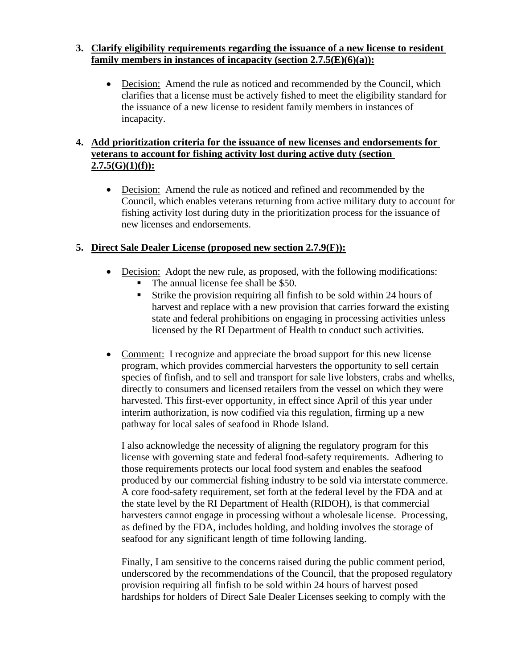#### **3. Clarify eligibility requirements regarding the issuance of a new license to resident family members in instances of incapacity (section 2.7.5(E)(6)(a)):**

• Decision: Amend the rule as noticed and recommended by the Council, which clarifies that a license must be actively fished to meet the eligibility standard for the issuance of a new license to resident family members in instances of incapacity.

# **4. Add prioritization criteria for the issuance of new licenses and endorsements for veterans to account for fishing activity lost during active duty (section 2.7.5(G)(1)(f)):**

• Decision: Amend the rule as noticed and refined and recommended by the Council, which enables veterans returning from active military duty to account for fishing activity lost during duty in the prioritization process for the issuance of new licenses and endorsements.

# **5. Direct Sale Dealer License (proposed new section 2.7.9(F)):**

- Decision: Adopt the new rule, as proposed, with the following modifications:
	- The annual license fee shall be \$50.
	- Strike the provision requiring all finfish to be sold within 24 hours of harvest and replace with a new provision that carries forward the existing state and federal prohibitions on engaging in processing activities unless licensed by the RI Department of Health to conduct such activities.
- Comment: I recognize and appreciate the broad support for this new license program, which provides commercial harvesters the opportunity to sell certain species of finfish, and to sell and transport for sale live lobsters, crabs and whelks, directly to consumers and licensed retailers from the vessel on which they were harvested. This first-ever opportunity, in effect since April of this year under interim authorization, is now codified via this regulation, firming up a new pathway for local sales of seafood in Rhode Island.

I also acknowledge the necessity of aligning the regulatory program for this license with governing state and federal food-safety requirements. Adhering to those requirements protects our local food system and enables the seafood produced by our commercial fishing industry to be sold via interstate commerce. A core food-safety requirement, set forth at the federal level by the FDA and at the state level by the RI Department of Health (RIDOH), is that commercial harvesters cannot engage in processing without a wholesale license. Processing, as defined by the FDA, includes holding, and holding involves the storage of seafood for any significant length of time following landing.

Finally, I am sensitive to the concerns raised during the public comment period, underscored by the recommendations of the Council, that the proposed regulatory provision requiring all finfish to be sold within 24 hours of harvest posed hardships for holders of Direct Sale Dealer Licenses seeking to comply with the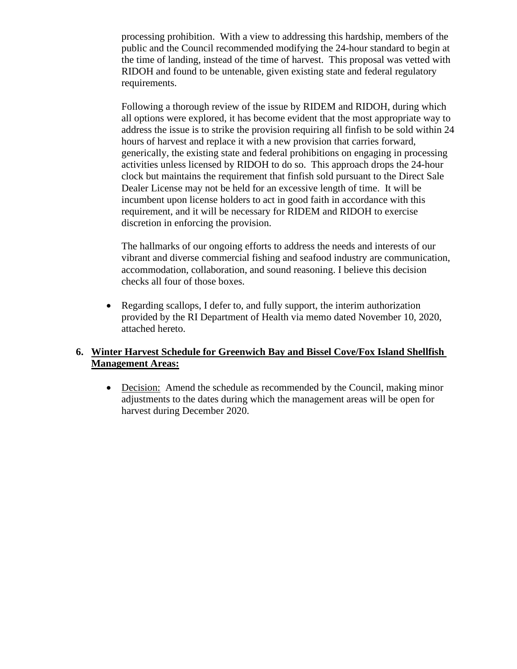processing prohibition. With a view to addressing this hardship, members of the public and the Council recommended modifying the 24-hour standard to begin at the time of landing, instead of the time of harvest. This proposal was vetted with RIDOH and found to be untenable, given existing state and federal regulatory requirements.

Following a thorough review of the issue by RIDEM and RIDOH, during which all options were explored, it has become evident that the most appropriate way to address the issue is to strike the provision requiring all finfish to be sold within 24 hours of harvest and replace it with a new provision that carries forward, generically, the existing state and federal prohibitions on engaging in processing activities unless licensed by RIDOH to do so. This approach drops the 24-hour clock but maintains the requirement that finfish sold pursuant to the Direct Sale Dealer License may not be held for an excessive length of time. It will be incumbent upon license holders to act in good faith in accordance with this requirement, and it will be necessary for RIDEM and RIDOH to exercise discretion in enforcing the provision.

The hallmarks of our ongoing efforts to address the needs and interests of our vibrant and diverse commercial fishing and seafood industry are communication, accommodation, collaboration, and sound reasoning. I believe this decision checks all four of those boxes.

• Regarding scallops, I defer to, and fully support, the interim authorization provided by the RI Department of Health via memo dated November 10, 2020, attached hereto.

#### **6. Winter Harvest Schedule for Greenwich Bay and Bissel Cove/Fox Island Shellfish Management Areas:**

• Decision: Amend the schedule as recommended by the Council, making minor adjustments to the dates during which the management areas will be open for harvest during December 2020.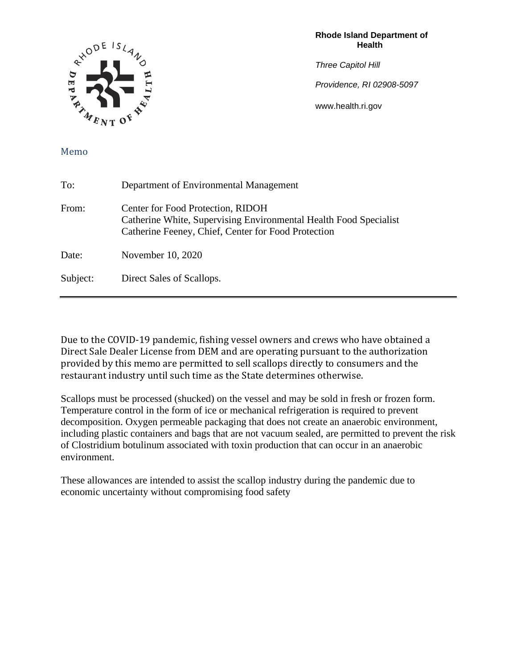

**Rhode Island Department of Health** 

*Three Capitol Hill* 

*Providence, RI 02908-5097*

www.health.ri.gov

#### Memo

| To:      | Department of Environmental Management                                                                                                                        |
|----------|---------------------------------------------------------------------------------------------------------------------------------------------------------------|
| From:    | Center for Food Protection, RIDOH<br>Catherine White, Supervising Environmental Health Food Specialist<br>Catherine Feeney, Chief, Center for Food Protection |
| Date:    | November 10, 2020                                                                                                                                             |
| Subject: | Direct Sales of Scallops.                                                                                                                                     |

Due to the COVID-19 pandemic, fishing vessel owners and crews who have obtained a Direct Sale Dealer License from DEM and are operating pursuant to the authorization provided by this memo are permitted to sell scallops directly to consumers and the restaurant industry until such time as the State determines otherwise.

Scallops must be processed (shucked) on the vessel and may be sold in fresh or frozen form. Temperature control in the form of ice or mechanical refrigeration is required to prevent decomposition. Oxygen permeable packaging that does not create an anaerobic environment, including plastic containers and bags that are not vacuum sealed, are permitted to prevent the risk of Clostridium botulinum associated with toxin production that can occur in an anaerobic environment.

These allowances are intended to assist the scallop industry during the pandemic due to economic uncertainty without compromising food safety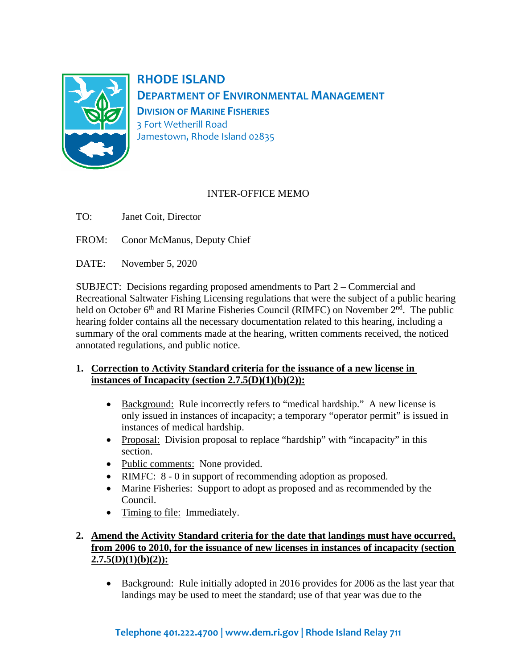

**RHODE ISLAND DEPARTMENT OF ENVIRONMENTAL MANAGEMENT DIVISION OF MARINE FISHERIES** 3 Fort Wetherill Road Jamestown, Rhode Island 02835

# INTER-OFFICE MEMO

- TO: Janet Coit, Director
- FROM: Conor McManus, Deputy Chief
- DATE: November 5, 2020

SUBJECT: Decisions regarding proposed amendments to Part 2 – Commercial and Recreational Saltwater Fishing Licensing regulations that were the subject of a public hearing held on October  $6<sup>th</sup>$  and RI Marine Fisheries Council (RIMFC) on November  $2<sup>nd</sup>$ . The public hearing folder contains all the necessary documentation related to this hearing, including a summary of the oral comments made at the hearing, written comments received, the noticed annotated regulations, and public notice.

#### **1. Correction to Activity Standard criteria for the issuance of a new license in instances of Incapacity (section 2.7.5(D)(1)(b)(2)):**

- Background: Rule incorrectly refers to "medical hardship." A new license is only issued in instances of incapacity; a temporary "operator permit" is issued in instances of medical hardship.
- Proposal: Division proposal to replace "hardship" with "incapacity" in this section.
- Public comments: None provided.
- RIMFC:  $8 0$  in support of recommending adoption as proposed.
- Marine Fisheries: Support to adopt as proposed and as recommended by the Council.
- Timing to file: Immediately.

# **2. Amend the Activity Standard criteria for the date that landings must have occurred, from 2006 to 2010, for the issuance of new licenses in instances of incapacity (section 2.7.5(D)(1)(b)(2)):**

• Background: Rule initially adopted in 2016 provides for 2006 as the last year that landings may be used to meet the standard; use of that year was due to the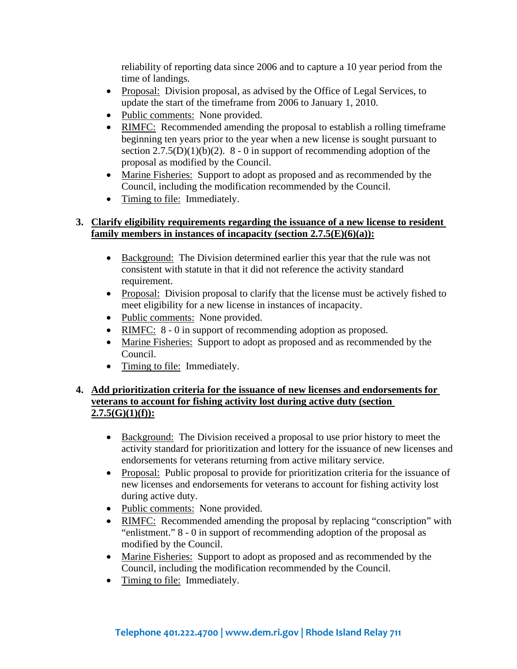reliability of reporting data since 2006 and to capture a 10 year period from the time of landings.

- Proposal: Division proposal, as advised by the Office of Legal Services, to update the start of the timeframe from 2006 to January 1, 2010.
- Public comments: None provided.
- RIMFC: Recommended amending the proposal to establish a rolling timeframe beginning ten years prior to the year when a new license is sought pursuant to section  $2.7.5(D)(1)(b)(2)$ . 8 - 0 in support of recommending adoption of the proposal as modified by the Council.
- Marine Fisheries: Support to adopt as proposed and as recommended by the Council, including the modification recommended by the Council.
- Timing to file: Immediately.

#### **3. Clarify eligibility requirements regarding the issuance of a new license to resident family members in instances of incapacity (section 2.7.5(E)(6)(a)):**

- Background: The Division determined earlier this year that the rule was not consistent with statute in that it did not reference the activity standard requirement.
- Proposal: Division proposal to clarify that the license must be actively fished to meet eligibility for a new license in instances of incapacity.
- Public comments: None provided.
- RIMFC:  $8 0$  in support of recommending adoption as proposed.
- Marine Fisheries: Support to adopt as proposed and as recommended by the Council.
- Timing to file: Immediately.

## **4. Add prioritization criteria for the issuance of new licenses and endorsements for veterans to account for fishing activity lost during active duty (section 2.7.5(G)(1)(f)):**

- Background: The Division received a proposal to use prior history to meet the activity standard for prioritization and lottery for the issuance of new licenses and endorsements for veterans returning from active military service.
- Proposal: Public proposal to provide for prioritization criteria for the issuance of new licenses and endorsements for veterans to account for fishing activity lost during active duty.
- Public comments: None provided.
- RIMFC: Recommended amending the proposal by replacing "conscription" with "enlistment." 8 - 0 in support of recommending adoption of the proposal as modified by the Council.
- Marine Fisheries: Support to adopt as proposed and as recommended by the Council, including the modification recommended by the Council.
- Timing to file: Immediately.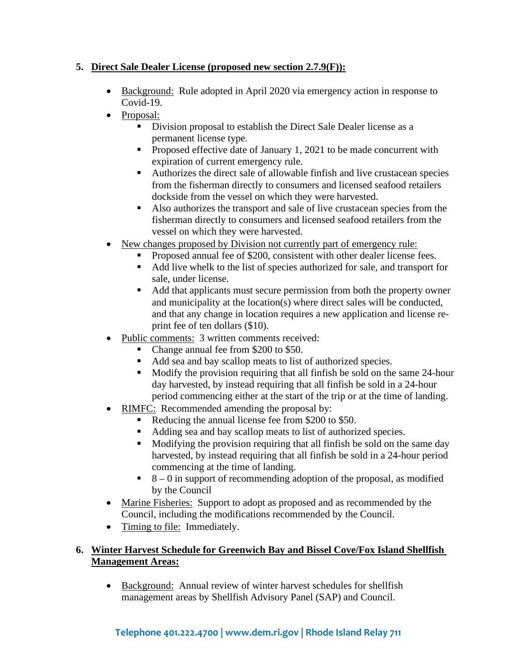# **5. Direct Sale Dealer License (proposed new section 2.7.9(F)):**

- Background: Rule adopted in April 2020 via emergency action in response to Covid-19.
- Proposal:
	- Division proposal to establish the Direct Sale Dealer license as a permanent license type.
	- Proposed effective date of January 1, 2021 to be made concurrent with expiration of current emergency rule.
	- Authorizes the direct sale of allowable finfish and live crustacean species from the fisherman directly to consumers and licensed seafood retailers dockside from the vessel on which they were harvested.
	- Also authorizes the transport and sale of live crustacean species from the fisherman directly to consumers and licensed seafood retailers from the vessel on which they were harvested.
- New changes proposed by Division not currently part of emergency rule:
	- Proposed annual fee of \$200, consistent with other dealer license fees.
	- Add live whelk to the list of species authorized for sale, and transport for sale, under license.
	- Add that applicants must secure permission from both the property owner and municipality at the location(s) where direct sales will be conducted, and that any change in location requires a new application and license reprint fee of ten dollars (\$10).
- Public comments: 3 written comments received:
	- Change annual fee from \$200 to \$50.
	- Add sea and bay scallop meats to list of authorized species.
	- Modify the provision requiring that all finfish be sold on the same 24-hour day harvested, by instead requiring that all finfish be sold in a 24-hour period commencing either at the start of the trip or at the time of landing.
- RIMFC: Recommended amending the proposal by:
	- Reducing the annual license fee from \$200 to \$50.
	- Adding sea and bay scallop meats to list of authorized species.
	- Modifying the provision requiring that all finfish be sold on the same day harvested, by instead requiring that all finfish be sold in a 24-hour period commencing at the time of landing.
	- $8 0$  in support of recommending adoption of the proposal, as modified by the Council
- Marine Fisheries: Support to adopt as proposed and as recommended by the Council, including the modifications recommended by the Council.
- Timing to file: Immediately.

# **6. Winter Harvest Schedule for Greenwich Bay and Bissel Cove/Fox Island Shellfish Management Areas:**

• Background: Annual review of winter harvest schedules for shellfish management areas by Shellfish Advisory Panel (SAP) and Council.